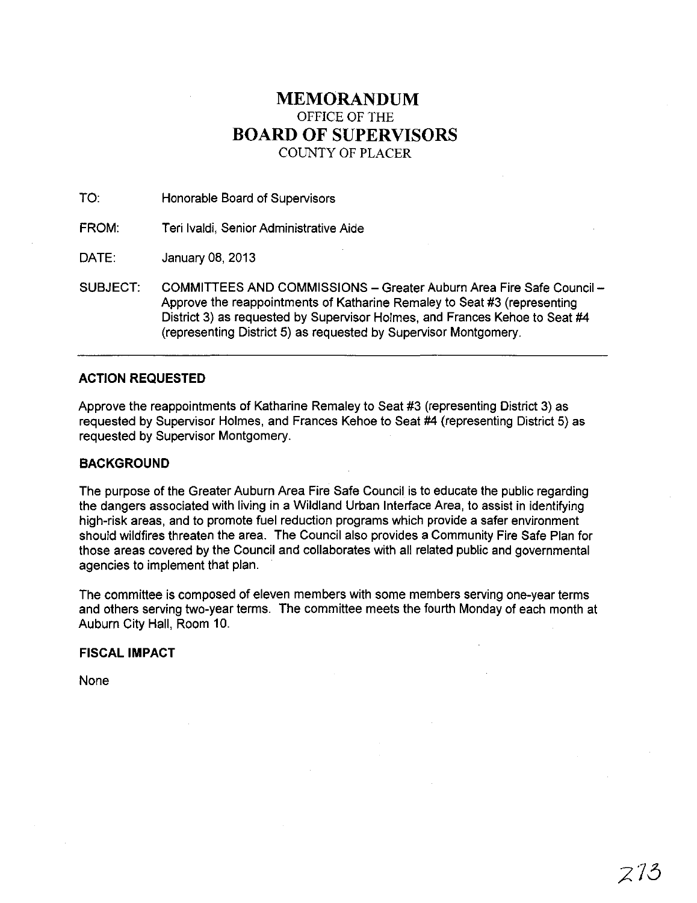# **MEMORANDUM**  OFFICE OF THE **BOARD OF SUPERVISORS**  COUNTY OF PLACER

TO: Honorable Board of Supervisors

FROM: Teri Ivaldi, Senior Administrative Aide

DATE: January 08, 2013

SUBJECT: COMMITTEES AND COMMISSIONS - Greater Auburn Area Fire Safe Council -Approve the reappointments of Katharine Remaley to Seat #3 (representing District 3) as requested by Supervisor Holmes, and Frances Kehoe to Seat #4 (representing District 5) as requested by Supervisor Montgomery.

## **ACTION REQUESTED**

Approve the reappointments of Katharine Remaley to Seat #3 (representing District 3) as requested by Supervisor Holmes, and Frances Kehoe to Seat #4 (representing District 5) as requested by Supervisor Montgomery.

## **BACKGROUND**

The purpose of the Greater Auburn Area Fire Safe Council is to educate the public regarding the dangers associated with living in a Wildland Urban Interface Area, to assist in identifying high-risk areas, and to promote fuel reduction programs which provide a safer environment should wildfires threaten the area. The Council also provides a Community Fire Safe Plan for those areas covered by the Council and collaborates with all related public and governmental agencies to implement that plan.

The committee is composed of eleven members with some members serving one-year terms and others serving two-year terms. The committee meets the fourth Monday of each month at Auburn City Hall, Room 10.

#### **FISCAL IMPACT**

None